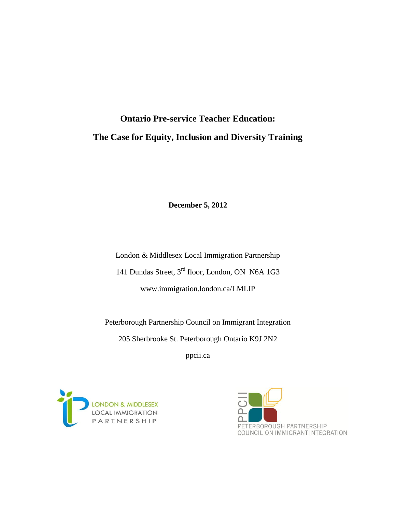# **Ontario Pre-service Teacher Education: The Case for Equity, Inclusion and Diversity Training**

**December 5, 2012**

London & Middlesex Local Immigration Partnership 141 Dundas Street, 3rd floor, London, ON N6A 1G3 www.immigration.london.ca/LMLIP

Peterborough Partnership Council on Immigrant Integration 205 Sherbrooke St. Peterborough Ontario K9J 2N2

ppcii.ca



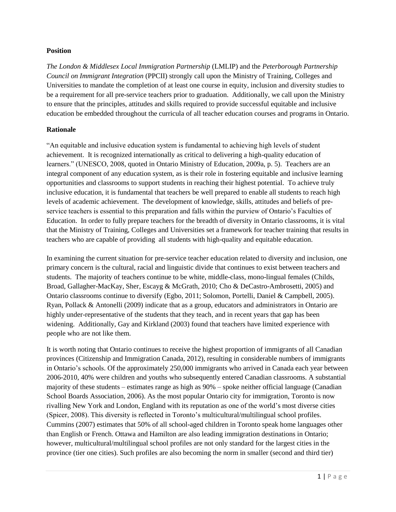#### **Position**

*The London & Middlesex Local Immigration Partnership* (LMLIP) and the *Peterborough Partnership Council on Immigrant Integration* (PPCII) strongly call upon the Ministry of Training, Colleges and Universities to mandate the completion of at least one course in equity, inclusion and diversity studies to be a requirement for all pre-service teachers prior to graduation. Additionally, we call upon the Ministry to ensure that the principles, attitudes and skills required to provide successful equitable and inclusive education be embedded throughout the curricula of all teacher education courses and programs in Ontario.

## **Rationale**

"An equitable and inclusive education system is fundamental to achieving high levels of student achievement. It is recognized internationally as critical to delivering a high-quality education of learners." (UNESCO, 2008, quoted in Ontario Ministry of Education, 2009a, p. 5). Teachers are an integral component of any education system, as is their role in fostering equitable and inclusive learning opportunities and classrooms to support students in reaching their highest potential. To achieve truly inclusive education, it is fundamental that teachers be well prepared to enable all students to reach high levels of academic achievement. The development of knowledge, skills, attitudes and beliefs of preservice teachers is essential to this preparation and falls within the purview of Ontario's Faculties of Education. In order to fully prepare teachers for the breadth of diversity in Ontario classrooms, it is vital that the Ministry of Training, Colleges and Universities set a framework for teacher training that results in teachers who are capable of providing all students with high-quality and equitable education.

In examining the current situation for pre-service teacher education related to diversity and inclusion, one primary concern is the cultural, racial and linguistic divide that continues to exist between teachers and students. The majority of teachers continue to be white, middle-class, mono-lingual females (Childs, Broad, Gallagher-MacKay, Sher, Escayg & McGrath, 2010; Cho & DeCastro-Ambrosetti, 2005) and Ontario classrooms continue to diversify (Egbo, 2011; Solomon, Portelli, Daniel & Campbell, 2005). Ryan, Pollack & Antonelli (2009) indicate that as a group, educators and administrators in Ontario are highly under-representative of the students that they teach, and in recent years that gap has been widening. Additionally, Gay and Kirkland (2003) found that teachers have limited experience with people who are not like them.

It is worth noting that Ontario continues to receive the highest proportion of immigrants of all Canadian provinces (Citizenship and Immigration Canada, 2012), resulting in considerable numbers of immigrants in Ontario's schools. Of the approximately 250,000 immigrants who arrived in Canada each year between 2006-2010, 40% were children and youths who subsequently entered Canadian classrooms. A substantial majority of these students – estimates range as high as 90% – spoke neither official language (Canadian School Boards Association, 2006). As the most popular Ontario city for immigration, Toronto is now rivalling New York and London, England with its reputation as one of the world's most diverse cities (Spicer, 2008). This diversity is reflected in Toronto's multicultural/multilingual school profiles. Cummins (2007) estimates that 50% of all school-aged children in Toronto speak home languages other than English or French. Ottawa and Hamilton are also leading immigration destinations in Ontario; however, multicultural/multilingual school profiles are not only standard for the largest cities in the province (tier one cities). Such profiles are also becoming the norm in smaller (second and third tier)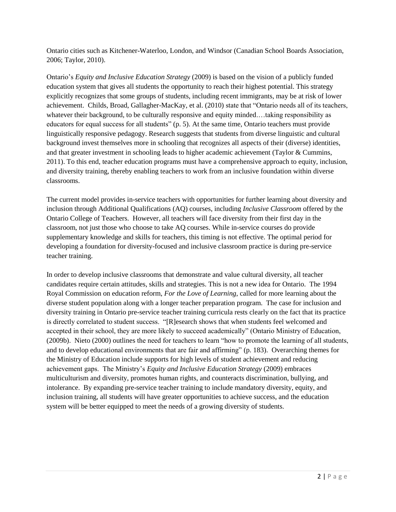Ontario cities such as Kitchener-Waterloo, London, and Windsor (Canadian School Boards Association, 2006; Taylor, 2010).

Ontario's *Equity and Inclusive Education Strategy* (2009) is based on the vision of a publicly funded education system that gives all students the opportunity to reach their highest potential. This strategy explicitly recognizes that some groups of students, including recent immigrants, may be at risk of lower achievement. Childs, Broad, Gallagher-MacKay, et al. (2010) state that "Ontario needs all of its teachers, whatever their background, to be culturally responsive and equity minded.…taking responsibility as educators for equal success for all students" (p. 5). At the same time, Ontario teachers must provide linguistically responsive pedagogy. Research suggests that students from diverse linguistic and cultural background invest themselves more in schooling that recognizes all aspects of their (diverse) identities, and that greater investment in schooling leads to higher academic achievement (Taylor & Cummins, 2011). To this end, teacher education programs must have a comprehensive approach to equity, inclusion, and diversity training, thereby enabling teachers to work from an inclusive foundation within diverse classrooms.

The current model provides in-service teachers with opportunities for further learning about diversity and inclusion through Additional Qualifications (AQ) courses, including *Inclusive Classroom* offered by the Ontario College of Teachers. However, all teachers will face diversity from their first day in the classroom, not just those who choose to take AQ courses. While in-service courses do provide supplementary knowledge and skills for teachers, this timing is not effective. The optimal period for developing a foundation for diversity-focused and inclusive classroom practice is during pre-service teacher training.

In order to develop inclusive classrooms that demonstrate and value cultural diversity, all teacher candidates require certain attitudes, skills and strategies. This is not a new idea for Ontario. The 1994 Royal Commission on education reform, *For the Love of Learning*, called for more learning about the diverse student population along with a longer teacher preparation program. The case for inclusion and diversity training in Ontario pre-service teacher training curricula rests clearly on the fact that its practice is directly correlated to student success. "[R]esearch shows that when students feel welcomed and accepted in their school, they are more likely to succeed academically" (Ontario Ministry of Education, (2009b). Nieto (2000) outlines the need for teachers to learn "how to promote the learning of all students, and to develop educational environments that are fair and affirming" (p. 183). Overarching themes for the Ministry of Education include supports for high levels of student achievement and reducing achievement gaps. The Ministry's *Equity and Inclusive Education Strategy* (2009) embraces multiculturism and diversity, promotes human rights, and counteracts discrimination, bullying, and intolerance. By expanding pre-service teacher training to include mandatory diversity, equity, and inclusion training, all students will have greater opportunities to achieve success, and the education system will be better equipped to meet the needs of a growing diversity of students.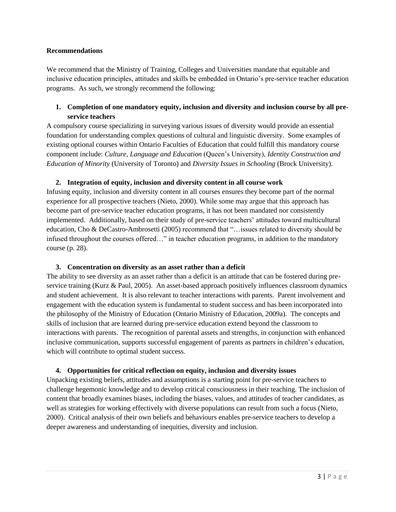#### **Recommendations**

We recommend that the Ministry of Training, Colleges and Universities mandate that equitable and inclusive education principles, attitudes and skills be embedded in Ontario's pre-service teacher education programs. As such, we strongly recommend the following:

## **1. Completion of one mandatory equity, inclusion and diversity and inclusion course by all preservice teachers**

A compulsory course specializing in surveying various issues of diversity would provide an essential foundation for understanding complex questions of cultural and linguistic diversity. Some examples of existing optional courses within Ontario Faculties of Education that could fulfill this mandatory course component include: *Culture, Language and Education* (Queen's University), *Identity Construction and Education of Minority* (University of Toronto) and *Diversity Issues in Schooling* (Brock University).

## **2. Integration of equity, inclusion and diversity content in all course work**

Infusing equity, inclusion and diversity content in all courses ensures they become part of the normal experience for all prospective teachers (Nieto, 2000). While some may argue that this approach has become part of pre-service teacher education programs, it has not been mandated nor consistently implemented. Additionally, based on their study of pre-service teachers' attitudes toward multicultural education, Cho & DeCastro-Ambrosetti (2005) recommend that "…issues related to diversity should be infused throughout the courses offered…" in teacher education programs, in addition to the mandatory course (p. 28).

## **3. Concentration on diversity as an asset rather than a deficit**

The ability to see diversity as an asset rather than a deficit is an attitude that can be fostered during preservice training (Kurz & Paul, 2005). An asset-based approach positively influences classroom dynamics and student achievement. It is also relevant to teacher interactions with parents. Parent involvement and engagement with the education system is fundamental to student success and has been incorporated into the philosophy of the Ministry of Education (Ontario Ministry of Education, 2009a). The concepts and skills of inclusion that are learned during pre-service education extend beyond the classroom to interactions with parents. The recognition of parental assets and strengths, in conjunction with enhanced inclusive communication, supports successful engagement of parents as partners in children's education, which will contribute to optimal student success.

## **4. Opportunities for critical reflection on equity, inclusion and diversity issues**

Unpacking existing beliefs, attitudes and assumptions is a starting point for pre-service teachers to challenge hegemonic knowledge and to develop critical consciousness in their teaching. The inclusion of content that broadly examines biases, including the biases, values, and attitudes of teacher candidates, as well as strategies for working effectively with diverse populations can result from such a focus (Nieto, 2000). Critical analysis of their own beliefs and behaviours enables pre-service teachers to develop a deeper awareness and understanding of inequities, diversity and inclusion.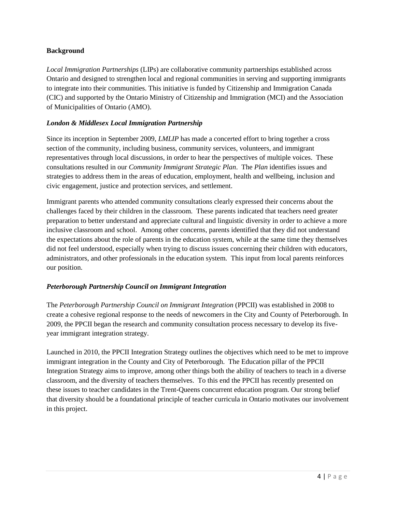#### **Background**

*Local Immigration Partnerships* (LIPs) are collaborative community partnerships established across Ontario and designed to strengthen local and regional communities in serving and supporting immigrants to integrate into their communities. This initiative is funded by Citizenship and Immigration Canada (CIC) and supported by the Ontario Ministry of Citizenship and Immigration (MCI) and the Association of Municipalities of Ontario (AMO).

#### *London & Middlesex Local Immigration Partnership*

Since its inception in September 2009, *LMLIP* has made a concerted effort to bring together a cross section of the community, including business, community services, volunteers, and immigrant representatives through local discussions, in order to hear the perspectives of multiple voices. These consultations resulted in our *Community Immigrant Strategic Plan*. The *Plan* identifies issues and strategies to address them in the areas of education, employment, health and wellbeing, inclusion and civic engagement, justice and protection services, and settlement.

Immigrant parents who attended community consultations clearly expressed their concerns about the challenges faced by their children in the classroom. These parents indicated that teachers need greater preparation to better understand and appreciate cultural and linguistic diversity in order to achieve a more inclusive classroom and school. Among other concerns, parents identified that they did not understand the expectations about the role of parents in the education system, while at the same time they themselves did not feel understood, especially when trying to discuss issues concerning their children with educators, administrators, and other professionals in the education system. This input from local parents reinforces our position.

## *Peterborough Partnership Council on Immigrant Integration*

The *Peterborough Partnership Council on Immigrant Integration* (PPCII) was established in 2008 to create a cohesive regional response to the needs of newcomers in the City and County of Peterborough. In 2009, the PPCII began the research and community consultation process necessary to develop its fiveyear immigrant integration strategy.

Launched in 2010, the PPCII Integration Strategy outlines the objectives which need to be met to improve immigrant integration in the County and City of Peterborough. The Education pillar of the PPCII Integration Strategy aims to improve, among other things both the ability of teachers to teach in a diverse classroom, and the diversity of teachers themselves. To this end the PPCII has recently presented on these issues to teacher candidates in the Trent-Queens concurrent education program. Our strong belief that diversity should be a foundational principle of teacher curricula in Ontario motivates our involvement in this project.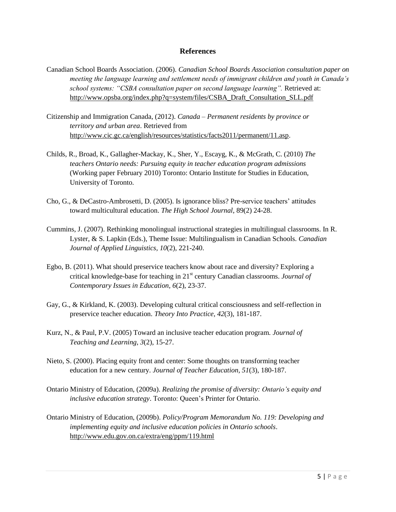#### **References**

- Canadian School Boards Association. (2006). *Canadian School Boards Association consultation paper on meeting the language learning and settlement needs of immigrant children and youth in Canada's school systems: "CSBA consultation paper on second language learning".* Retrieved at: [http://www.opsba.org/index.php?q=system/files/CSBA\\_Draft\\_Consultation\\_SLL.pdf](http://www.opsba.org/index.php?q=system/files/CSBA_Draft_Consultation_SLL.pdf)
- Citizenship and Immigration Canada, (2012). *Canada – Permanent residents by province or territory and urban area*. Retrieved from [http://www.cic.gc.ca/english/resources/statistics/facts2011/permanent/11.asp.](http://www.cic.gc.ca/english/resources/statistics/facts2011/permanent/11.asp)
- Childs, R., Broad, K., Gallagher-Mackay, K., Sher, Y., Escayg, K., & McGrath, C. (2010) *The teachers Ontario needs: Pursuing equity in teacher education program admissions* (Working paper February 2010) Toronto: Ontario Institute for Studies in Education, University of Toronto.
- Cho, G., & DeCastro-Ambrosetti, D. (2005). Is ignorance bliss? Pre-service teachers' attitudes toward multicultural education. *The High School Journal*, 89(2) 24-28.
- Cummins, J. (2007). Rethinking monolingual instructional strategies in multilingual classrooms. In R. Lyster, & S. Lapkin (Eds.), Theme Issue: Multilingualism in Canadian Schools. *Canadian Journal of Applied Linguistics, 10*(2), 221-240.
- Egbo, B. (2011). What should preservice teachers know about race and diversity? Exploring a critical knowledge-base for teaching in 21st century Canadian classrooms. *Journal of Contemporary Issues in Education, 6*(2), 23-37.
- Gay, G., & Kirkland, K. (2003). Developing cultural critical consciousness and self-reflection in preservice teacher education. *Theory Into Practice, 42*(3), 181-187.
- Kurz, N., & Paul, P.V. (2005) Toward an inclusive teacher education program. *Journal of Teaching and Learning, 3*(2), 15-27.
- Nieto, S. (2000). Placing equity front and center: Some thoughts on transforming teacher education for a new century. *Journal of Teacher Education, 51*(3), 180-187.
- Ontario Ministry of Education, (2009a). *Realizing the promise of diversity: Ontario's equity and inclusive education strategy*. Toronto: Queen's Printer for Ontario.
- Ontario Ministry of Education, (2009b). *Policy/Program Memorandum No. 119: Developing and implementing equity and inclusive education policies in Ontario schools*. <http://www.edu.gov.on.ca/extra/eng/ppm/119.html>